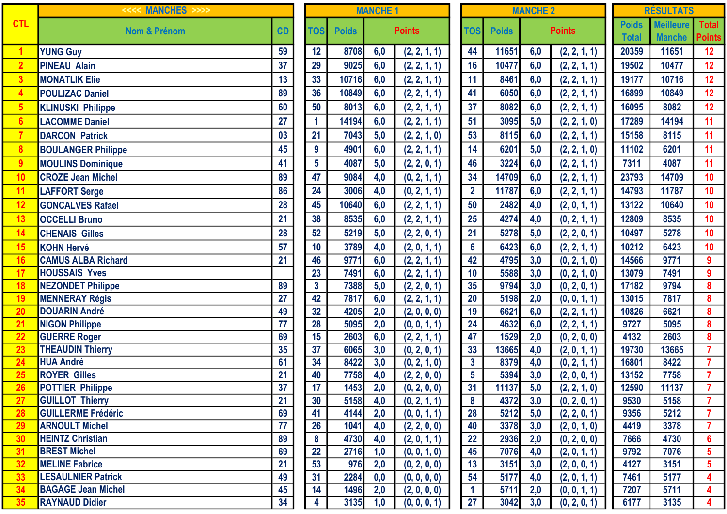|                | $>>>$<br><<<< MANCHES     |           |                 | <b>MANCHE 1</b> |               |              |  | <b>MANCHE 2</b> |              |     |               |                              | <b>RÉSULTATS</b>                  |                         |
|----------------|---------------------------|-----------|-----------------|-----------------|---------------|--------------|--|-----------------|--------------|-----|---------------|------------------------------|-----------------------------------|-------------------------|
| <b>CTL</b>     | <b>Nom &amp; Prénom</b>   | <b>CD</b> | <b>TOS</b>      | <b>Poids</b>    | <b>Points</b> |              |  | <b>TOS</b>      | <b>Poids</b> |     | <b>Points</b> | <b>Poids</b><br><b>Total</b> | <b>Meilleure</b><br><b>Manche</b> | Tota<br>Poin            |
| 1              | <b>YUNG Guy</b>           | 59        | 12              | 8708            | 6,0           | (2, 2, 1, 1) |  | 44              | 11651        | 6,0 | (2, 2, 1, 1)  | 20359                        | 11651                             | 12                      |
| $\overline{2}$ | <b>PINEAU Alain</b>       | 37        | 29              | 9025            | 6,0           | (2, 2, 1, 1) |  | 16              | 10477        | 6,0 | (2, 2, 1, 1)  | 19502                        | 10477                             | 12                      |
| $\overline{3}$ | <b>MONATLIK Elie</b>      | 13        | 33              | 10716           | 6,0           | (2, 2, 1, 1) |  | 11              | 8461         | 6,0 | (2, 2, 1, 1)  | 19177                        | 10716                             | 12                      |
| $\overline{4}$ | <b>POULIZAC Daniel</b>    | 89        | 36              | 10849           | 6,0           | (2, 2, 1, 1) |  | 41              | 6050         | 6,0 | (2, 2, 1, 1)  | 16899                        | 10849                             | 12                      |
| $5\phantom{1}$ | <b>KLINUSKI Philippe</b>  | 60        | 50              | 8013            | 6,0           | (2, 2, 1, 1) |  | 37              | 8082         | 6,0 | (2, 2, 1, 1)  | 16095                        | 8082                              | 12                      |
| $6\phantom{1}$ | <b>LACOMME Daniel</b>     | 27        |                 | 14194           | 6,0           | (2, 2, 1, 1) |  | 51              | 3095         | 5,0 | (2, 2, 1, 0)  | 17289                        | 14194                             | 11                      |
|                | <b>DARCON Patrick</b>     | 03        | 21              | 7043            | 5,0           | (2, 2, 1, 0) |  | 53              | 8115         | 6,0 | (2, 2, 1, 1)  | 15158                        | 8115                              | 11                      |
| 8              | <b>BOULANGER Philippe</b> | 45        | 9               | 4901            | 6,0           | (2, 2, 1, 1) |  | 14              | 6201         | 5,0 | (2, 2, 1, 0)  | 11102                        | 6201                              | 11                      |
| 9              | <b>MOULINS Dominique</b>  | 41        | $5\overline{)}$ | 4087            | 5,0           | (2, 2, 0, 1) |  | 46              | 3224         | 6,0 | (2, 2, 1, 1)  | 7311                         | 4087                              | 11                      |
| 10             | <b>CROZE Jean Michel</b>  | 89        | 47              | 9084            | 4,0           | (0, 2, 1, 1) |  | 34              | 14709        | 6,0 | (2, 2, 1, 1)  | 23793                        | 14709                             | 10                      |
| 11             | <b>LAFFORT Serge</b>      | 86        | 24              | 3006            | 4,0           | (0, 2, 1, 1) |  | $\overline{2}$  | 11787        | 6,0 | (2, 2, 1, 1)  | 14793                        | 11787                             | 10                      |
| 12             | <b>GONCALVES Rafael</b>   | 28        | 45              | 10640           | 6,0           | (2, 2, 1, 1) |  | 50              | 2482         | 4,0 | (2, 0, 1, 1)  | 13122                        | 10640                             | 10                      |
| 13             | <b>OCCELLI Bruno</b>      | 21        | 38              | 8535            | 6,0           | (2, 2, 1, 1) |  | 25              | 4274         | 4,0 | (0, 2, 1, 1)  | 12809                        | 8535                              | 10                      |
| 14             | <b>CHENAIS Gilles</b>     | 28        | 52              | 5219            | 5,0           | (2, 2, 0, 1) |  | 21              | 5278         | 5,0 | (2, 2, 0, 1)  | 10497                        | 5278                              | 10                      |
| 15             | <b>KOHN Hervé</b>         | 57        | 10              | 3789            | 4,0           | (2, 0, 1, 1) |  | $6\phantom{a}$  | 6423         | 6,0 | (2, 2, 1, 1)  | 10212                        | 6423                              | 10                      |
| 16             | <b>CAMUS ALBA Richard</b> | 21        | 46              | 9771            | 6,0           | (2, 2, 1, 1) |  | 42              | 4795         | 3,0 | (0, 2, 1, 0)  | 14566                        | 9771                              | $\boldsymbol{9}$        |
| 17             | <b>HOUSSAIS Yves</b>      |           | 23              | 7491            | 6,0           | (2, 2, 1, 1) |  | 10              | 5588         | 3,0 | (0, 2, 1, 0)  | 13079                        | 7491                              | $\boldsymbol{9}$        |
| 18             | <b>NEZONDET Philippe</b>  | 89        | $\mathbf{3}$    | 7388            | 5,0           | (2, 2, 0, 1) |  | 35              | 9794         | 3,0 | (0, 2, 0, 1)  | 17182                        | 9794                              | $\boldsymbol{8}$        |
| 19             | <b>MENNERAY Régis</b>     | 27        | 42              | 7817            | 6,0           | (2, 2, 1, 1) |  | 20              | 5198         | 2,0 | (0, 0, 1, 1)  | 13015                        | 7817                              | $\boldsymbol{8}$        |
| 20             | <b>DOUARIN André</b>      | 49        | 32              | 4205            | 2,0           | (2, 0, 0, 0) |  | 19              | 6621         | 6,0 | (2, 2, 1, 1)  | 10826                        | 6621                              | $\boldsymbol{8}$        |
| 21             | <b>NIGON Philippe</b>     | 77        | 28              | 5095            | 2,0           | (0, 0, 1, 1) |  | 24              | 4632         | 6,0 | (2, 2, 1, 1)  | 9727                         | 5095                              | $\boldsymbol{8}$        |
| 22             | <b>GUERRE Roger</b>       | 69        | 15              | 2603            | 6,0           | (2, 2, 1, 1) |  | 47              | 1529         | 2,0 | (0, 2, 0, 0)  | 4132                         | 2603                              | $\pmb{8}$               |
| 23             | <b>THEAUDIN Thierry</b>   | 35        | 37              | 6065            | 3,0           | (0, 2, 0, 1) |  | 33              | 13665        | 4,0 | (2, 0, 1, 1)  | 19730                        | 13665                             | $\overline{7}$          |
| 24             | <b>HUA André</b>          | 61        | 34              | 8422            | 3,0           | (0, 2, 1, 0) |  | $\mathbf{3}$    | 8379         | 4,0 | (0, 2, 1, 1)  | 16801                        | 8422                              | $\overline{7}$          |
| 25             | <b>ROYER Gilles</b>       | 21        | 40              | 7758            | 4,0           | (2, 2, 0, 0) |  | $5\phantom{a}$  | 5394         | 3,0 | (2, 0, 0, 1)  | 13152                        | 7758                              | $\overline{7}$          |
| 26             | <b>POTTIER Philippe</b>   | 37        | 17              | 1453            | 2,0           | (0, 2, 0, 0) |  | 31              | 11137        | 5,0 | (2, 2, 1, 0)  | 12590                        | 11137                             | $\overline{7}$          |
| 27             | <b>GUILLOT Thierry</b>    | 21        | 30              | 5158            | 4,0           | (0, 2, 1, 1) |  | 8               | 4372         | 3,0 | (0, 2, 0, 1)  | 9530                         | 5158                              | $\mathbf{7}$            |
| 28             | <b>GUILLERME Frédéric</b> | 69        | 41              | 4144            | 2,0           | (0, 0, 1, 1) |  | 28              | 5212         | 5,0 | (2, 2, 0, 1)  | 9356                         | 5212                              | $\overline{7}$          |
| 29             | <b>ARNOULT Michel</b>     | 77        | 26              | 1041            | 4,0           | (2, 2, 0, 0) |  | 40              | 3378         | 3,0 | (2, 0, 1, 0)  | 4419                         | 3378                              | $\mathbf{7}$            |
| 30             | <b>HEINTZ Christian</b>   | 89        | 8               | 4730            | 4,0           | (2, 0, 1, 1) |  | 22              | 2936         | 2,0 | (0, 2, 0, 0)  | 7666                         | 4730                              | $6\phantom{a}$          |
| 31             | <b>BREST Michel</b>       | 69        | 22              | 2716            | 1,0           | (0, 0, 1, 0) |  | 45              | 7076         | 4,0 | (2, 0, 1, 1)  | 9792                         | 7076                              | $\overline{\mathbf{5}}$ |
| 32             | <b>MELINE Fabrice</b>     | 21        | 53              | 976             | 2,0           | (0, 2, 0, 0) |  | 13              | 3151         | 3,0 | (2, 0, 0, 1)  | 4127                         | 3151                              | $5\phantom{.0}$         |
| 33             | <b>LESAULNIER Patrick</b> | 49        | 31              | 2284            | 0,0           | (0, 0, 0, 0) |  | 54              | 5177         | 4,0 | (2, 0, 1, 1)  | 7461                         | 5177                              | $\overline{\mathbf{4}}$ |
| 34             | <b>BAGAGE Jean Michel</b> | 45        | 14              | 1496            | 2,0           | (2, 0, 0, 0) |  | $\mathbf 1$     | 5711         | 2,0 | (0, 0, 1, 1)  | 7207                         | 5711                              | $\overline{\mathbf{4}}$ |
| 35             | <b>RAYNAUD Didier</b>     | 34        |                 | 3135            | 1,0           | (0, 0, 0, 1) |  | 27              | 3042         | 3,0 | (0, 2, 0, 1)  | 6177                         | 3135                              | $\overline{\mathbf{4}}$ |

| <b>MANCHE 1</b> |              |            |                              |  |  |  |  |  |  |  |
|-----------------|--------------|------------|------------------------------|--|--|--|--|--|--|--|
| <b>TOS</b>      | <b>Poids</b> |            | <b>Points</b>                |  |  |  |  |  |  |  |
| 12              | 8708         | 6,0        | (2, 2, 1, 1)                 |  |  |  |  |  |  |  |
| 29              | 9025         | 6,0        | (2, 2, 1, 1)                 |  |  |  |  |  |  |  |
| 33              | 10716        | 6,0        | (2, 2, 1, 1)                 |  |  |  |  |  |  |  |
| 36              | 10849        | 6,0        | (2, 2, 1, 1)                 |  |  |  |  |  |  |  |
| 50              | 8013         | 6,0        | (2, 2, 1, 1)                 |  |  |  |  |  |  |  |
| 1               | 14194        | 6,0        | (2, 2, 1, 1)                 |  |  |  |  |  |  |  |
| 21              | 7043         | 5,0        | (2, 2, 1, 0)                 |  |  |  |  |  |  |  |
| 9               | 4901         | 6,0        | (2, 2, 1, 1)                 |  |  |  |  |  |  |  |
| $5\phantom{.0}$ | 4087         | 5,0        | (2, 2, 0, 1)                 |  |  |  |  |  |  |  |
| 47              | 9084         | 4,0        | (0, 2, 1, 1)                 |  |  |  |  |  |  |  |
| 24              | 3006         | 4,0        | (0, 2, 1, 1)                 |  |  |  |  |  |  |  |
| 45              | 10640        | 6,0        | (2, 2, 1, 1)                 |  |  |  |  |  |  |  |
| 38              | 8535         | 6,0        | (2, 2, 1, 1)                 |  |  |  |  |  |  |  |
| 52              | 5219         | 5,0        | (2, 2, 0, 1)                 |  |  |  |  |  |  |  |
| 10              | 3789         | 4,0        | (2, 0, 1, 1)                 |  |  |  |  |  |  |  |
| 46              | 9771         | 6,0        | (2, 2, 1, 1)                 |  |  |  |  |  |  |  |
| 23              | 7491         | 6,0        | (2, 2, 1, 1)                 |  |  |  |  |  |  |  |
| $\frac{1}{3}$   | 7388         | 5,0        | (2, 2, 0, 1)                 |  |  |  |  |  |  |  |
| 42              | 7817         | 6,0        | (2, 2, 1, 1)                 |  |  |  |  |  |  |  |
| 32              | 4205         | 2,0        | (2, 0, 0, 0)                 |  |  |  |  |  |  |  |
| 28              | 5095         | 2,0        | (0, 0, 1, 1)                 |  |  |  |  |  |  |  |
| 15              | 2603         | 6,0        | (2, 2, 1, 1)                 |  |  |  |  |  |  |  |
| 37              | 6065         | 3,0        | (0, 2, 0, 1)                 |  |  |  |  |  |  |  |
| 34              | 8422         | 3,0        | (0, 2, 1, 0)                 |  |  |  |  |  |  |  |
| 40              | 7758         | 4,0        | (2, 2, 0, 0)                 |  |  |  |  |  |  |  |
| 17<br>30        | 1453<br>5158 | 2,0        | (0, 2, 0, 0)                 |  |  |  |  |  |  |  |
| 41              | 4144         | 4,0<br>2,0 | (0, 2, 1, 1)<br>(0, 0, 1, 1) |  |  |  |  |  |  |  |
| 26              | 1041         | 4,0        | (2, 2, 0, 0)                 |  |  |  |  |  |  |  |
| 8               | 4730         | 4,0        | (2, 0, 1, 1)                 |  |  |  |  |  |  |  |
| $\overline{22}$ | 2716         | 1,0        | (0, 0, 1, 0)                 |  |  |  |  |  |  |  |
| 53              | 976          | 2,0        | (0, 2, 0, 0)                 |  |  |  |  |  |  |  |
| 31              | 2284         | 0,0        | (0, 0, 0, 0)                 |  |  |  |  |  |  |  |
| 14              | 1496         | 2,0        | (2, 0, 0, 0)                 |  |  |  |  |  |  |  |
| 4               | 3135         | 1,0        | (0, 0, 0, 1)                 |  |  |  |  |  |  |  |

|                         | <b>MANCHE 1</b> |               |                 |              | <b>RÉSULTATS</b> |              |  |                              |                                   |  |  |
|-------------------------|-----------------|---------------|-----------------|--------------|------------------|--------------|--|------------------------------|-----------------------------------|--|--|
|                         |                 |               |                 |              | <b>MANCHE 2</b>  |              |  |                              |                                   |  |  |
|                         |                 | <b>Points</b> | <b>TOS</b>      | <b>Poids</b> | <b>Points</b>    |              |  | <b>Poids</b><br><b>Total</b> | <b>Meilleure</b><br><b>Manche</b> |  |  |
| $\overline{\mathbf{8}}$ | 6,0             | (2, 2, 1, 1)  | 44              | 11651        | 6,0              | (2, 2, 1, 1) |  | 20359                        | 11651                             |  |  |
| $\overline{.5}$         | 6,0             | (2, 2, 1, 1)  | 16              | 10477        | 6,0              | (2, 2, 1, 1) |  | 19502                        | 10477                             |  |  |
| $\overline{\bf{6}}$     | 6,0             | (2, 2, 1, 1)  | 11              | 8461         | 6,0              | (2, 2, 1, 1) |  | 19177                        | 10716                             |  |  |
| 9                       | 6,0             | (2, 2, 1, 1)  | 41              | 6050         | 6,0              | (2, 2, 1, 1) |  | 16899                        | 10849                             |  |  |
| $\overline{\mathbf{3}}$ | 6,0             | (2, 2, 1, 1)  | 37              | 8082         | 6,0              | (2, 2, 1, 1) |  | 16095                        | 8082                              |  |  |
| $\overline{4}$          | 6,0             | (2, 2, 1, 1)  | 51              | 3095         | 5,0              | (2, 2, 1, 0) |  | 17289                        | 14194                             |  |  |
| $\overline{3}$          | 5,0             | (2, 2, 1, 0)  | 53              | 8115         | 6,0              | (2, 2, 1, 1) |  | 15158                        | 8115                              |  |  |
| $\mathbf{1}$            | 6,0             | (2, 2, 1, 1)  | 14              | 6201         | 5,0              | (2, 2, 1, 0) |  | 11102                        | 6201                              |  |  |
| $\overline{7}$          | 5,0             | (2, 2, 0, 1)  | 46              | 3224         | 6,0              | (2, 2, 1, 1) |  | 7311                         | 4087                              |  |  |
| $\boldsymbol{A}$        | 4,0             | (0, 2, 1, 1)  | 34              | 14709        | 6,0              | (2, 2, 1, 1) |  | 23793                        | 14709                             |  |  |
| 6                       | 4,0             | (0, 2, 1, 1)  | $\overline{2}$  | 11787        | 6,0              | (2, 2, 1, 1) |  | 14793                        | 11787                             |  |  |
| $\mathbf{0}$            | 6,0             | (2, 2, 1, 1)  | 50              | 2482         | 4,0              | (2, 0, 1, 1) |  | 13122                        | 10640                             |  |  |
| 35                      | 6,0             | (2, 2, 1, 1)  | 25              | 4274         | 4,0              | (0, 2, 1, 1) |  | 12809                        | 8535                              |  |  |
| $\overline{9}$          | 5,0             | (2, 2, 0, 1)  | 21              | 5278         | 5,0              | (2, 2, 0, 1) |  | 10497                        | 5278                              |  |  |
| 9                       | 4,0             | (2, 0, 1, 1)  | $6\phantom{1}$  | 6423         | 6,0              | (2, 2, 1, 1) |  | 10212                        | 6423                              |  |  |
| $\overline{1}$          | 6,0             | (2, 2, 1, 1)  | 42              | 4795         | 3,0              | (0, 2, 1, 0) |  | 14566                        | 9771                              |  |  |
| $\overline{1}$          | 6,0             | (2, 2, 1, 1)  | 10              | 5588         | 3,0              | (0, 2, 1, 0) |  | 13079                        | 7491                              |  |  |
| $\frac{18}{7}$          | 5,0             | (2, 2, 0, 1)  | 35              | 9794         | 3,0              | (0, 2, 0, 1) |  | 17182                        | 9794                              |  |  |
|                         | 6,0             | (2, 2, 1, 1)  | 20              | 5198         | 2,0              | (0, 0, 1, 1) |  | 13015                        | 7817                              |  |  |
| $\overline{5}$          | 2,0             | (2, 0, 0, 0)  | 19              | 6621         | 6,0              | (2, 2, 1, 1) |  | 10826                        | 6621                              |  |  |
| $\overline{5}$          | 2,0             | (0, 0, 1, 1)  | 24              | 4632         | 6,0              | (2, 2, 1, 1) |  | 9727                         | 5095                              |  |  |
| $\frac{13}{15}$         | 6,0             | (2, 2, 1, 1)  | 47              | 1529         | 2,0              | (0, 2, 0, 0) |  | 4132                         | 2603                              |  |  |
|                         | 3,0             | (0, 2, 0, 1)  | 33              | 13665        | 4,0              | (2, 0, 1, 1) |  | 19730                        | 13665                             |  |  |
| $\overline{2}$          | 3,0             | (0, 2, 1, 0)  | $\mathbf{3}$    | 8379         | 4,0              | (0, 2, 1, 1) |  | 16801                        | 8422                              |  |  |
| $\frac{1}{3}$           | 4,0             | (2, 2, 0, 0)  | $\overline{5}$  | 5394         | 3,0              | (2, 0, 0, 1) |  | 13152                        | 7758                              |  |  |
|                         | 2,0             | (0, 2, 0, 0)  | $\overline{31}$ | 11137        | 5,0              | (2, 2, 1, 0) |  | 12590                        | 11137                             |  |  |
| $\overline{\mathbf{8}}$ | 4,0             | (0, 2, 1, 1)  | 8               | 4372         | 3,0              | (0, 2, 0, 1) |  | 9530                         | 5158                              |  |  |
| <b>14</b>               | 2,0             | (0, 0, 1, 1)  | 28              | 5212         | 5,0              | (2, 2, 0, 1) |  | 9356                         | 5212                              |  |  |
| 1                       | 4,0             | (2, 2, 0, 0)  | 40              | 3378         | 3,0              | (2, 0, 1, 0) |  | 4419                         | 3378                              |  |  |
| $\overline{\mathbf{0}}$ | 4,0             | (2, 0, 1, 1)  | 22              | 2936         | 2,0              | (0, 2, 0, 0) |  | 7666                         | 4730                              |  |  |
| $6\phantom{a}$          | 1,0             | (0, 0, 1, 0)  | 45              | 7076         | 4,0              | (2, 0, 1, 1) |  | 9792                         | 7076                              |  |  |
| $\mathbf{6}$            | 2,0             | (0, 2, 0, 0)  | 13              | 3151         | 3,0              | (2, 0, 0, 1) |  | 4127                         | 3151                              |  |  |
| 84                      | 0,0             | (0, 0, 0, 0)  | 54              | 5177         | 4,0              | (2, 0, 1, 1) |  | 7461                         | 5177                              |  |  |
| 6                       | 2,0             | (2, 0, 0, 0)  | 1               | 5711         | 2,0              | (0, 0, 1, 1) |  | 7207                         | 5711                              |  |  |
| 35                      | 1,0             | (0, 0, 0, 1)  | 27              | 3042         | 3,0              | (0, 2, 0, 1) |  | 6177                         | 3135                              |  |  |

| <b>RÉSULTATS</b> |                  |                                                          |  |  |  |  |  |  |  |  |
|------------------|------------------|----------------------------------------------------------|--|--|--|--|--|--|--|--|
| <b>Poids</b>     | <b>Meilleure</b> | <b>Total</b>                                             |  |  |  |  |  |  |  |  |
| <b>Total</b>     | <b>Manche</b>    | <b>Points</b>                                            |  |  |  |  |  |  |  |  |
| 20359            | 11651            | 12                                                       |  |  |  |  |  |  |  |  |
| 19502            | 10477            | 12                                                       |  |  |  |  |  |  |  |  |
| 19177            | 10716            | 12                                                       |  |  |  |  |  |  |  |  |
| 16899            | 10849            | 12                                                       |  |  |  |  |  |  |  |  |
| 16095            | 8082             | 12                                                       |  |  |  |  |  |  |  |  |
| 17289            | 14194            | 11                                                       |  |  |  |  |  |  |  |  |
| 15158            | 8115             | 11                                                       |  |  |  |  |  |  |  |  |
| 11102            | 6201             | 11                                                       |  |  |  |  |  |  |  |  |
| 7311             | 4087             | 11                                                       |  |  |  |  |  |  |  |  |
| 23793            | 14709            | 10                                                       |  |  |  |  |  |  |  |  |
| 14793            | 11787            | 10                                                       |  |  |  |  |  |  |  |  |
|                  |                  |                                                          |  |  |  |  |  |  |  |  |
| 13122            | 10640            | 10                                                       |  |  |  |  |  |  |  |  |
| 12809            | 8535             | 10                                                       |  |  |  |  |  |  |  |  |
| 10497            | 5278             | 10                                                       |  |  |  |  |  |  |  |  |
| 10212            | 6423             | 10                                                       |  |  |  |  |  |  |  |  |
| 14566            | 9771             | 9                                                        |  |  |  |  |  |  |  |  |
| 13079            | 7491             | 9                                                        |  |  |  |  |  |  |  |  |
| 17182            | 9794             | 8                                                        |  |  |  |  |  |  |  |  |
| 13015            | 7817             | 8                                                        |  |  |  |  |  |  |  |  |
| 10826            | 6621             | 8                                                        |  |  |  |  |  |  |  |  |
| 9727             | 5095             | 8                                                        |  |  |  |  |  |  |  |  |
| 4132             | 2603             | 8                                                        |  |  |  |  |  |  |  |  |
| 19730            | 13665            | 7                                                        |  |  |  |  |  |  |  |  |
| 16801            | 8422             | 7                                                        |  |  |  |  |  |  |  |  |
| 13152            | 7758             | 7                                                        |  |  |  |  |  |  |  |  |
| 12590            | 11137            | 7                                                        |  |  |  |  |  |  |  |  |
| 9530             | 5158             | $\frac{7}{7}$                                            |  |  |  |  |  |  |  |  |
| 9356             | 5212             |                                                          |  |  |  |  |  |  |  |  |
| 4419             | 3378             | $\frac{17}{6}$ $\frac{6}{5}$ $\frac{5}{4}$ $\frac{4}{4}$ |  |  |  |  |  |  |  |  |
| 7666             | 4730             |                                                          |  |  |  |  |  |  |  |  |
| 9792             | 7076             |                                                          |  |  |  |  |  |  |  |  |
| 4127             | 3151             |                                                          |  |  |  |  |  |  |  |  |
| 7461             | 5177             |                                                          |  |  |  |  |  |  |  |  |
| 7207             | 5711             |                                                          |  |  |  |  |  |  |  |  |
| 6177             | 3135             | $\overline{\mathbf{4}}$                                  |  |  |  |  |  |  |  |  |